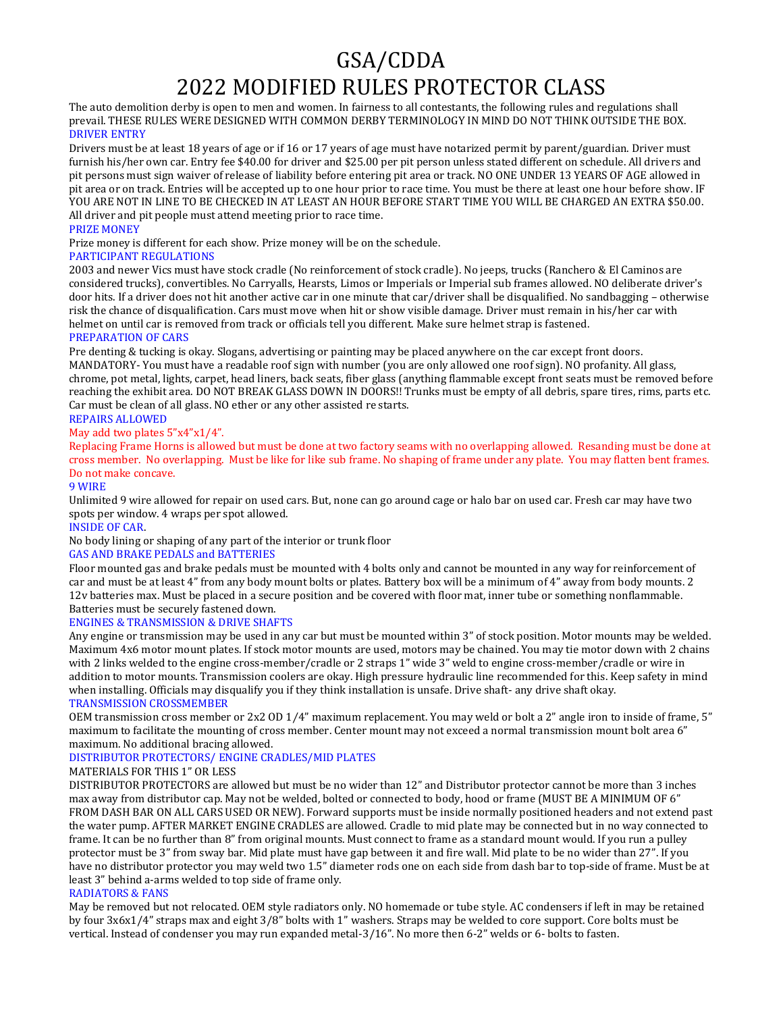# GSA/CDDA 2022 MODIFIED RULES PROTECTOR CLASS

The auto demolition derby is open to men and women. In fairness to all contestants, the following rules and regulations shall prevail. THESE RULES WERE DESIGNED WITH COMMON DERBY TERMINOLOGY IN MIND DO NOT THINK OUTSIDE THE BOX. DRIVER ENTRY

Drivers must be at least 18 years of age or if 16 or 17 years of age must have notarized permit by parent/guardian. Driver must furnish his/her own car. Entry fee \$40.00 for driver and \$25.00 per pit person unless stated different on schedule. All drivers and pit persons must sign waiver of release of liability before entering pit area or track. NO ONE UNDER 13 YEARS OF AGE allowed in pit area or on track. Entries will be accepted up to one hour prior to race time. You must be there at least one hour before show. IF YOU ARE NOT IN LINE TO BE CHECKED IN AT LEAST AN HOUR BEFORE START TIME YOU WILL BE CHARGED AN EXTRA \$50.00. All driver and pit people must attend meeting prior to race time.

## PRIZE MONEY

Prize money is different for each show. Prize money will be on the schedule.

## PARTICIPANT REGULATIONS

2003 and newer Vics must have stock cradle (No reinforcement of stock cradle). No jeeps, trucks (Ranchero & El Caminos are considered trucks), convertibles. No Carryalls, Hearsts, Limos or Imperials or Imperial sub frames allowed. NO deliberate driver's door hits. If a driver does not hit another active car in one minute that car/driver shall be disqualified. No sandbagging – otherwise risk the chance of disqualification. Cars must move when hit or show visible damage. Driver must remain in his/her car with helmet on until car is removed from track or officials tell you different. Make sure helmet strap is fastened.

# PREPARATION OF CARS

Pre denting & tucking is okay. Slogans, advertising or painting may be placed anywhere on the car except front doors. MANDATORY- You must have a readable roof sign with number (you are only allowed one roof sign). NO profanity. All glass, chrome, pot metal, lights, carpet, head liners, back seats, fiber glass (anything flammable except front seats must be removed before reaching the exhibit area. DO NOT BREAK GLASS DOWN IN DOORS!! Trunks must be empty of all debris, spare tires, rims, parts etc. Car must be clean of all glass. NO ether or any other assisted re starts.

## REPAIRS ALLOWED

## May add two plates 5"x4"x1/4".

Replacing Frame Horns is allowed but must be done at two factory seams with no overlapping allowed. Resanding must be done at cross member. No overlapping. Must be like for like sub frame. No shaping of frame under any plate. You may flatten bent frames. Do not make concave.

## 9 WIRE

Unlimited 9 wire allowed for repair on used cars. But, none can go around cage or halo bar on used car. Fresh car may have two spots per window. 4 wraps per spot allowed.

## INSIDE OF CAR.

No body lining or shaping of any part of the interior or trunk floor

## GAS AND BRAKE PEDALS and BATTERIES

Floor mounted gas and brake pedals must be mounted with 4 bolts only and cannot be mounted in any way for reinforcement of car and must be at least 4" from any body mount bolts or plates. Battery box will be a minimum of 4" away from body mounts. 2 12v batteries max. Must be placed in a secure position and be covered with floor mat, inner tube or something nonflammable. Batteries must be securely fastened down.

## ENGINES & TRANSMISSION & DRIVE SHAFTS

Any engine or transmission may be used in any car but must be mounted within 3" of stock position. Motor mounts may be welded. Maximum 4x6 motor mount plates. If stock motor mounts are used, motors may be chained. You may tie motor down with 2 chains with 2 links welded to the engine cross-member/cradle or 2 straps 1" wide 3" weld to engine cross-member/cradle or wire in addition to motor mounts. Transmission coolers are okay. High pressure hydraulic line recommended for this. Keep safety in mind when installing. Officials may disqualify you if they think installation is unsafe. Drive shaft- any drive shaft okay.

## TRANSMISSION CROSSMEMBER

OEM transmission cross member or 2x2 OD 1⁄4" maximum replacement. You may weld or bolt a 2" angle iron to inside of frame, 5" maximum to facilitate the mounting of cross member. Center mount may not exceed a normal transmission mount bolt area 6" maximum. No additional bracing allowed.

## DISTRIBUTOR PROTECTORS/ ENGINE CRADLES/MID PLATES

## MATERIALS FOR THIS 1" OR LESS

DISTRIBUTOR PROTECTORS are allowed but must be no wider than 12" and Distributor protector cannot be more than 3 inches max away from distributor cap. May not be welded, bolted or connected to body, hood or frame (MUST BE A MINIMUM OF 6" FROM DASH BAR ON ALL CARS USED OR NEW). Forward supports must be inside normally positioned headers and not extend past the water pump. AFTER MARKET ENGINE CRADLES are allowed. Cradle to mid plate may be connected but in no way connected to frame. It can be no further than 8" from original mounts. Must connect to frame as a standard mount would. If you run a pulley protector must be 3" from sway bar. Mid plate must have gap between it and fire wall. Mid plate to be no wider than 27". If you have no distributor protector you may weld two 1.5" diameter rods one on each side from dash bar to top-side of frame. Must be at least 3" behind a-arms welded to top side of frame only.

## RADIATORS & FANS

May be removed but not relocated. OEM style radiators only. NO homemade or tube style. AC condensers if left in may be retained by four 3x6x1/4" straps max and eight 3/8" bolts with 1" washers. Straps may be welded to core support. Core bolts must be vertical. Instead of condenser you may run expanded metal-3/16". No more then 6-2" welds or 6- bolts to fasten.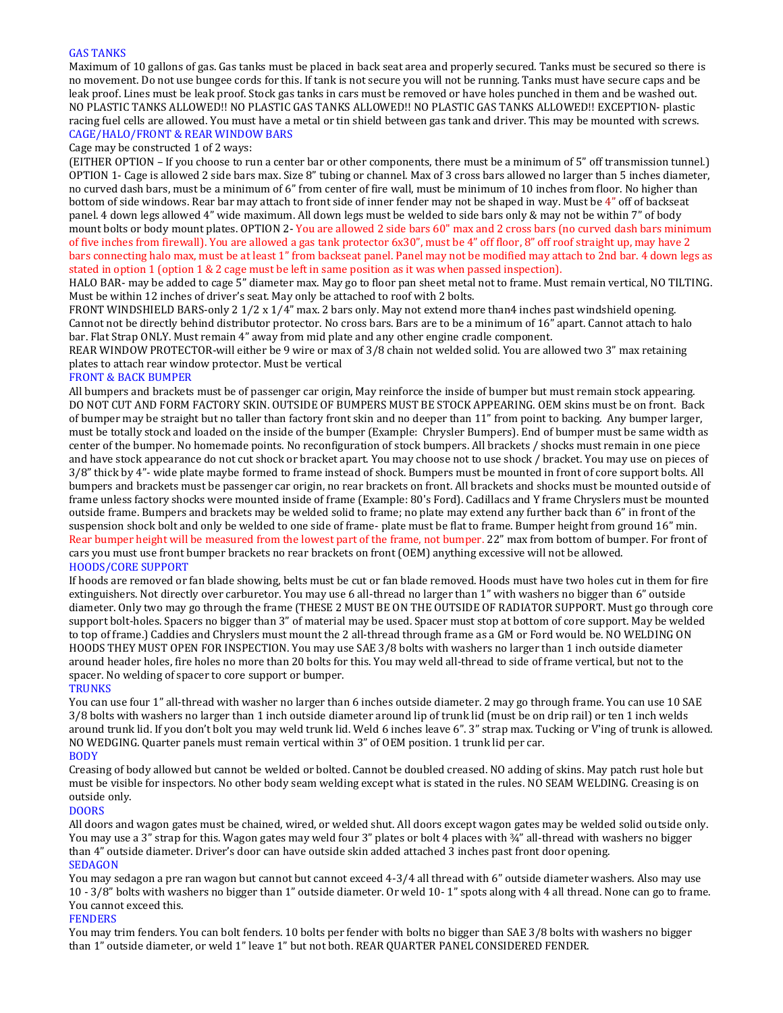#### GAS TANKS

Maximum of 10 gallons of gas. Gas tanks must be placed in back seat area and properly secured. Tanks must be secured so there is no movement. Do not use bungee cords for this. If tank is not secure you will not be running. Tanks must have secure caps and be leak proof. Lines must be leak proof. Stock gas tanks in cars must be removed or have holes punched in them and be washed out. NO PLASTIC TANKS ALLOWED!! NO PLASTIC GAS TANKS ALLOWED!! NO PLASTIC GAS TANKS ALLOWED!! EXCEPTION- plastic racing fuel cells are allowed. You must have a metal or tin shield between gas tank and driver. This may be mounted with screws. CAGE/HALO/FRONT & REAR WINDOW BARS

#### Cage may be constructed 1 of 2 ways:

(EITHER OPTION – If you choose to run a center bar or other components, there must be a minimum of 5" off transmission tunnel.) OPTION 1- Cage is allowed 2 side bars max. Size 8" tubing or channel. Max of 3 cross bars allowed no larger than 5 inches diameter, no curved dash bars, must be a minimum of 6" from center of fire wall, must be minimum of 10 inches from floor. No higher than bottom of side windows. Rear bar may attach to front side of inner fender may not be shaped in way. Must be 4" off of backseat panel. 4 down legs allowed 4" wide maximum. All down legs must be welded to side bars only & may not be within 7" of body mount bolts or body mount plates. OPTION 2- You are allowed 2 side bars 60" max and 2 cross bars (no curved dash bars minimum of five inches from firewall). You are allowed a gas tank protector 6x30", must be 4" off floor, 8" off roof straight up, may have 2 bars connecting halo max, must be at least 1" from backseat panel. Panel may not be modified may attach to 2nd bar. 4 down legs as stated in option 1 (option 1 & 2 cage must be left in same position as it was when passed inspection).

HALO BAR- may be added to cage 5" diameter max. May go to floor pan sheet metal not to frame. Must remain vertical, NO TILTING. Must be within 12 inches of driver's seat. May only be attached to roof with 2 bolts.

FRONT WINDSHIELD BARS-only 2 1⁄2 x 1⁄4" max. 2 bars only. May not extend more than4 inches past windshield opening. Cannot not be directly behind distributor protector. No cross bars. Bars are to be a minimum of 16" apart. Cannot attach to halo bar. Flat Strap ONLY. Must remain 4" away from mid plate and any other engine cradle component.

REAR WINDOW PROTECTOR-will either be 9 wire or max of 3/8 chain not welded solid. You are allowed two 3" max retaining plates to attach rear window protector. Must be vertical

#### FRONT & BACK BUMPER

All bumpers and brackets must be of passenger car origin, May reinforce the inside of bumper but must remain stock appearing. DO NOT CUT AND FORM FACTORY SKIN. OUTSIDE OF BUMPERS MUST BE STOCK APPEARING. OEM skins must be on front. Back of bumper may be straight but no taller than factory front skin and no deeper than 11" from point to backing. Any bumper larger, must be totally stock and loaded on the inside of the bumper (Example: Chrysler Bumpers). End of bumper must be same width as center of the bumper. No homemade points. No reconfiguration of stock bumpers. All brackets / shocks must remain in one piece and have stock appearance do not cut shock or bracket apart. You may choose not to use shock / bracket. You may use on pieces of 3/8" thick by 4"- wide plate maybe formed to frame instead of shock. Bumpers must be mounted in front of core support bolts. All bumpers and brackets must be passenger car origin, no rear brackets on front. All brackets and shocks must be mounted outside of frame unless factory shocks were mounted inside of frame (Example: 80's Ford). Cadillacs and Y frame Chryslers must be mounted outside frame. Bumpers and brackets may be welded solid to frame; no plate may extend any further back than 6" in front of the suspension shock bolt and only be welded to one side of frame- plate must be flat to frame. Bumper height from ground 16" min. Rear bumper height will be measured from the lowest part of the frame, not bumper. 22" max from bottom of bumper. For front of cars you must use front bumper brackets no rear brackets on front (OEM) anything excessive will not be allowed. HOODS/CORE SUPPORT

If hoods are removed or fan blade showing, belts must be cut or fan blade removed. Hoods must have two holes cut in them for fire extinguishers. Not directly over carburetor. You may use 6 all-thread no larger than 1" with washers no bigger than 6" outside diameter. Only two may go through the frame (THESE 2 MUST BE ON THE OUTSIDE OF RADIATOR SUPPORT. Must go through core support bolt-holes. Spacers no bigger than 3" of material may be used. Spacer must stop at bottom of core support. May be welded to top of frame.) Caddies and Chryslers must mount the 2 all-thread through frame as a GM or Ford would be. NO WELDING ON HOODS THEY MUST OPEN FOR INSPECTION. You may use SAE 3/8 bolts with washers no larger than 1 inch outside diameter around header holes, fire holes no more than 20 bolts for this. You may weld all-thread to side of frame vertical, but not to the spacer. No welding of spacer to core support or bumper.

**TRUNKS** 

You can use four 1" all-thread with washer no larger than 6 inches outside diameter. 2 may go through frame. You can use 10 SAE 3/8 bolts with washers no larger than 1 inch outside diameter around lip of trunk lid (must be on drip rail) or ten 1 inch welds around trunk lid. If you don't bolt you may weld trunk lid. Weld 6 inches leave 6". 3" strap max. Tucking or V'ing of trunk is allowed. NO WEDGING. Quarter panels must remain vertical within 3" of OEM position. 1 trunk lid per car.

**BODY** 

Creasing of body allowed but cannot be welded or bolted. Cannot be doubled creased. NO adding of skins. May patch rust hole but must be visible for inspectors. No other body seam welding except what is stated in the rules. NO SEAM WELDING. Creasing is on outside only.

#### **DOORS**

All doors and wagon gates must be chained, wired, or welded shut. All doors except wagon gates may be welded solid outside only. You may use a 3" strap for this. Wagon gates may weld four 3" plates or bolt 4 places with ¼" all-thread with washers no bigger than 4" outside diameter. Driver's door can have outside skin added attached 3 inches past front door opening. **SEDAGON** 

You may sedagon a pre ran wagon but cannot but cannot exceed 4-3/4 all thread with 6" outside diameter washers. Also may use 10 - 3/8" bolts with washers no bigger than 1" outside diameter. Or weld 10- 1" spots along with 4 all thread. None can go to frame. You cannot exceed this.

#### FENDERS

You may trim fenders. You can bolt fenders. 10 bolts per fender with bolts no bigger than SAE 3/8 bolts with washers no bigger than 1" outside diameter, or weld 1" leave 1" but not both. REAR QUARTER PANEL CONSIDERED FENDER.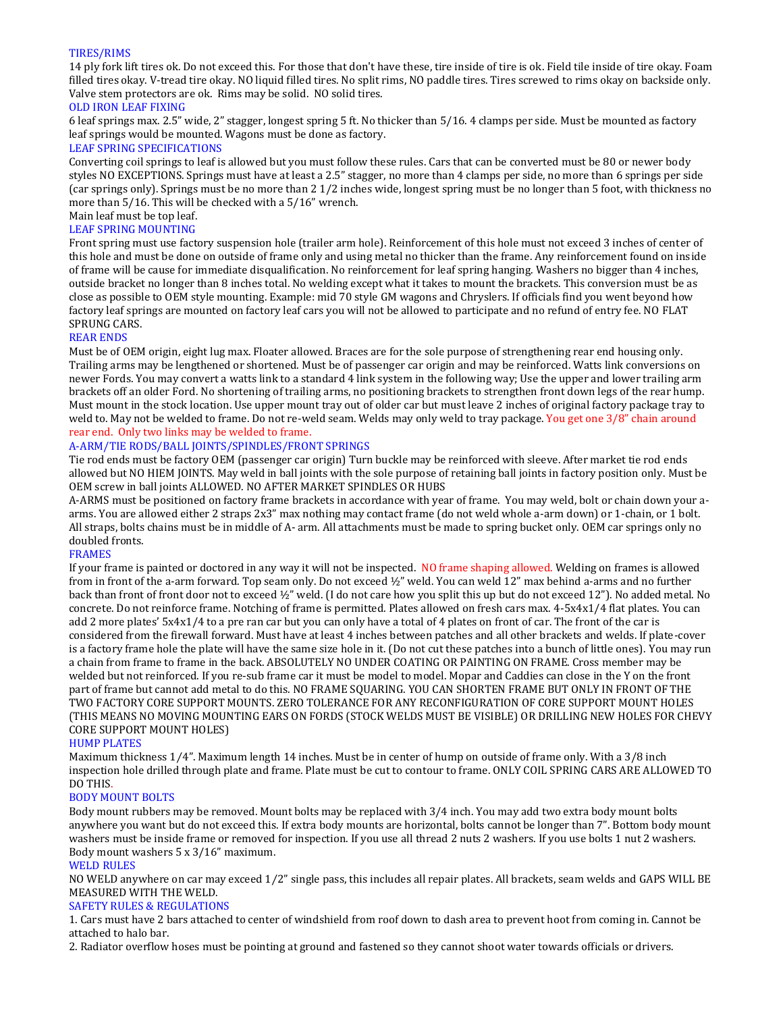### TIRES/RIMS

14 ply fork lift tires ok. Do not exceed this. For those that don't have these, tire inside of tire is ok. Field tile inside of tire okay. Foam filled tires okay. V-tread tire okay. NO liquid filled tires. No split rims, NO paddle tires. Tires screwed to rims okay on backside only. Valve stem protectors are ok. Rims may be solid. NO solid tires.

## OLD IRON LEAF FIXING

6 leaf springs max. 2.5" wide, 2" stagger, longest spring 5 ft. No thicker than 5/16. 4 clamps per side. Must be mounted as factory leaf springs would be mounted. Wagons must be done as factory.

#### LEAF SPRING SPECIFICATIONS

Converting coil springs to leaf is allowed but you must follow these rules. Cars that can be converted must be 80 or newer body styles NO EXCEPTIONS. Springs must have at least a 2.5" stagger, no more than 4 clamps per side, no more than 6 springs per side (car springs only). Springs must be no more than 2 1/2 inches wide, longest spring must be no longer than 5 foot, with thickness no more than 5/16. This will be checked with a 5/16" wrench.

#### Main leaf must be top leaf. LEAF SPRING MOUNTING

Front spring must use factory suspension hole (trailer arm hole). Reinforcement of this hole must not exceed 3 inches of center of this hole and must be done on outside of frame only and using metal no thicker than the frame. Any reinforcement found on inside of frame will be cause for immediate disqualification. No reinforcement for leaf spring hanging. Washers no bigger than 4 inches, outside bracket no longer than 8 inches total. No welding except what it takes to mount the brackets. This conversion must be as close as possible to OEM style mounting. Example: mid 70 style GM wagons and Chryslers. If officials find you went beyond how factory leaf springs are mounted on factory leaf cars you will not be allowed to participate and no refund of entry fee. NO FLAT SPRUNG CARS.

### REAR ENDS

Must be of OEM origin, eight lug max. Floater allowed. Braces are for the sole purpose of strengthening rear end housing only. Trailing arms may be lengthened or shortened. Must be of passenger car origin and may be reinforced. Watts link conversions on newer Fords. You may convert a watts link to a standard 4 link system in the following way; Use the upper and lower trailing arm brackets off an older Ford. No shortening of trailing arms, no positioning brackets to strengthen front down legs of the rear hump. Must mount in the stock location. Use upper mount tray out of older car but must leave 2 inches of original factory package tray to weld to. May not be welded to frame. Do not re-weld seam. Welds may only weld to tray package. You get one 3/8" chain around rear end. Only two links may be welded to frame.

## A-ARM/TIE RODS/BALL JOINTS/SPINDLES/FRONT SPRINGS

Tie rod ends must be factory OEM (passenger car origin) Turn buckle may be reinforced with sleeve. After market tie rod ends allowed but NO HIEM JOINTS. May weld in ball joints with the sole purpose of retaining ball joints in factory position only. Must be OEM screw in ball joints ALLOWED. NO AFTER MARKET SPINDLES OR HUBS

A-ARMS must be positioned on factory frame brackets in accordance with year of frame. You may weld, bolt or chain down your aarms. You are allowed either 2 straps 2x3" max nothing may contact frame (do not weld whole a-arm down) or 1-chain, or 1 bolt. All straps, bolts chains must be in middle of A- arm. All attachments must be made to spring bucket only. OEM car springs only no doubled fronts.

#### FRAMES

If your frame is painted or doctored in any way it will not be inspected. NO frame shaping allowed. Welding on frames is allowed from in front of the a-arm forward. Top seam only. Do not exceed ½" weld. You can weld 12" max behind a-arms and no further back than front of front door not to exceed ½" weld. (I do not care how you split this up but do not exceed 12"). No added metal. No concrete. Do not reinforce frame. Notching of frame is permitted. Plates allowed on fresh cars max. 4-5x4x1/4 flat plates. You can add 2 more plates' 5x4x1/4 to a pre ran car but you can only have a total of 4 plates on front of car. The front of the car is considered from the firewall forward. Must have at least 4 inches between patches and all other brackets and welds. If plate-cover is a factory frame hole the plate will have the same size hole in it. (Do not cut these patches into a bunch of little ones). You may run a chain from frame to frame in the back. ABSOLUTELY NO UNDER COATING OR PAINTING ON FRAME. Cross member may be welded but not reinforced. If you re-sub frame car it must be model to model. Mopar and Caddies can close in the Y on the front part of frame but cannot add metal to do this. NO FRAME SQUARING. YOU CAN SHORTEN FRAME BUT ONLY IN FRONT OF THE TWO FACTORY CORE SUPPORT MOUNTS. ZERO TOLERANCE FOR ANY RECONFIGURATION OF CORE SUPPORT MOUNT HOLES (THIS MEANS NO MOVING MOUNTING EARS ON FORDS (STOCK WELDS MUST BE VISIBLE) OR DRILLING NEW HOLES FOR CHEVY CORE SUPPORT MOUNT HOLES)

#### HUMP PLATES

Maximum thickness 1⁄4". Maximum length 14 inches. Must be in center of hump on outside of frame only. With a 3/8 inch inspection hole drilled through plate and frame. Plate must be cut to contour to frame. ONLY COIL SPRING CARS ARE ALLOWED TO DO THIS.

#### BODY MOUNT BOLTS

Body mount rubbers may be removed. Mount bolts may be replaced with 3/4 inch. You may add two extra body mount bolts anywhere you want but do not exceed this. If extra body mounts are horizontal, bolts cannot be longer than 7". Bottom body mount washers must be inside frame or removed for inspection. If you use all thread 2 nuts 2 washers. If you use bolts 1 nut 2 washers. Body mount washers 5 x 3/16" maximum.

#### WELD RULES

NO WELD anywhere on car may exceed 1⁄2" single pass, this includes all repair plates. All brackets, seam welds and GAPS WILL BE MEASURED WITH THE WELD.

## SAFETY RULES & REGULATIONS

1. Cars must have 2 bars attached to center of windshield from roof down to dash area to prevent hoot from coming in. Cannot be attached to halo bar.

2. Radiator overflow hoses must be pointing at ground and fastened so they cannot shoot water towards officials or drivers.